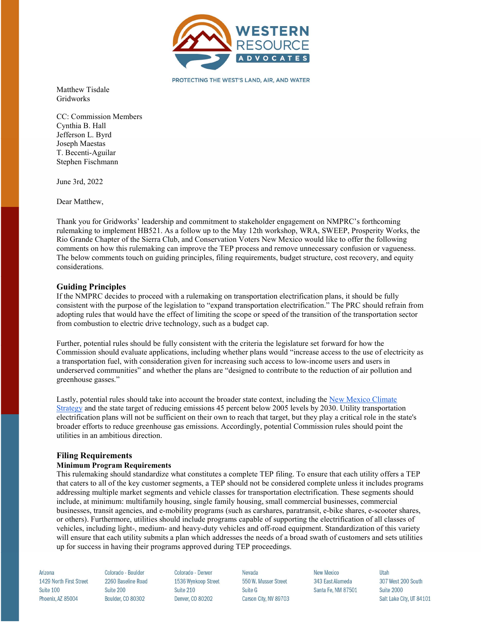

PROTECTING THE WEST'S LAND, AIR, AND WATER

Matthew Tisdale Gridworks

CC: Commission Members Cynthia B. Hall Jefferson L. Byrd Joseph Maestas T. Becenti-Aguilar Stephen Fischmann

June 3rd, 2022

Dear Matthew,

Thank you for Gridworks' leadership and commitment to stakeholder engagement on NMPRC's forthcoming rulemaking to implement HB521. As a follow up to the May 12th workshop, WRA, SWEEP, Prosperity Works, the Rio Grande Chapter of the Sierra Club, and Conservation Voters New Mexico would like to offer the following comments on how this rulemaking can improve the TEP process and remove unnecessary confusion or vagueness. The below comments touch on guiding principles, filing requirements, budget structure, cost recovery, and equity considerations.

# Guiding Principles

If the NMPRC decides to proceed with a rulemaking on transportation electrification plans, it should be fully consistent with the purpose of the legislation to "expand transportation electrification." The PRC should refrain from adopting rules that would have the effect of limiting the scope or speed of the transition of the transportation sector from combustion to electric drive technology, such as a budget cap.

Further, potential rules should be fully consistent with the criteria the legislature set forward for how the Commission should evaluate applications, including whether plans would "increase access to the use of electricity as a transportation fuel, with consideration given for increasing such access to low-income users and users in underserved communities" and whether the plans are "designed to contribute to the reduction of air pollution and greenhouse gasses."

Lastly, potential rules should take into account the broader state context, including the New Mexico Climate Strategy and the state target of reducing emissions 45 percent below 2005 levels by 2030. Utility transportation electrification plans will not be sufficient on their own to reach that target, but they play a critical role in the state's broader efforts to reduce greenhouse gas emissions. Accordingly, potential Commission rules should point the utilities in an ambitious direction.

# Filing Requirements

### Minimum Program Requirements

This rulemaking should standardize what constitutes a complete TEP filing. To ensure that each utility offers a TEP that caters to all of the key customer segments, a TEP should not be considered complete unless it includes programs addressing multiple market segments and vehicle classes for transportation electrification. These segments should include, at minimum: multifamily housing, single family housing, small commercial businesses, commercial businesses, transit agencies, and e-mobility programs (such as carshares, paratransit, e-bike shares, e-scooter shares, or others). Furthermore, utilities should include programs capable of supporting the electrification of all classes of vehicles, including light-, medium- and heavy-duty vehicles and off-road equipment. Standardization of this variety will ensure that each utility submits a plan which addresses the needs of a broad swath of customers and sets utilities up for success in having their programs approved during TEP proceedings.

Arizona 1429 North First Street Suite 100 Phoenix, AZ 85004

Colorado - Boulder 2260 Baseline Road Suite 200 Boulder, CO 80302

Colorado - Denver 1536 Wynkoop Street Suite 210 Denver, CO 80202

Nevada 550 W Musser Street Suite G Carson City, NV 89703

**New Mexico** 343 Fast Alameda Santa Fe, NM 87501 Utah 307 West 200 South **Suite 2000** Salt Lake City, UT 84101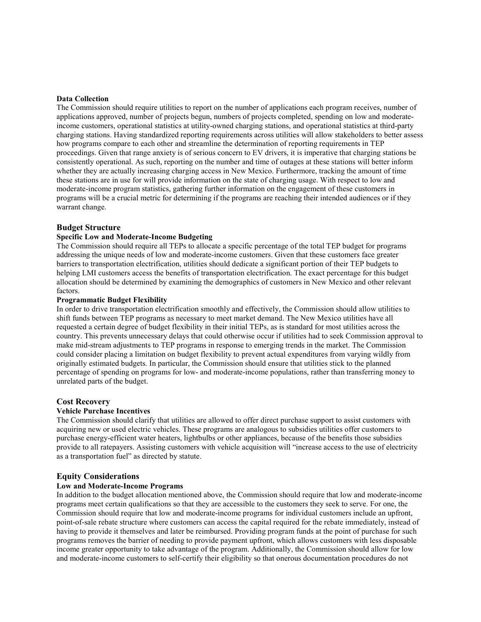### Data Collection

The Commission should require utilities to report on the number of applications each program receives, number of applications approved, number of projects begun, numbers of projects completed, spending on low and moderateincome customers, operational statistics at utility-owned charging stations, and operational statistics at third-party charging stations. Having standardized reporting requirements across utilities will allow stakeholders to better assess how programs compare to each other and streamline the determination of reporting requirements in TEP proceedings. Given that range anxiety is of serious concern to EV drivers, it is imperative that charging stations be consistently operational. As such, reporting on the number and time of outages at these stations will better inform whether they are actually increasing charging access in New Mexico. Furthermore, tracking the amount of time these stations are in use for will provide information on the state of charging usage. With respect to low and moderate-income program statistics, gathering further information on the engagement of these customers in programs will be a crucial metric for determining if the programs are reaching their intended audiences or if they warrant change.

### Budget Structure

### Specific Low and Moderate-Income Budgeting

The Commission should require all TEPs to allocate a specific percentage of the total TEP budget for programs addressing the unique needs of low and moderate-income customers. Given that these customers face greater barriers to transportation electrification, utilities should dedicate a significant portion of their TEP budgets to helping LMI customers access the benefits of transportation electrification. The exact percentage for this budget allocation should be determined by examining the demographics of customers in New Mexico and other relevant factors.

### Programmatic Budget Flexibility

In order to drive transportation electrification smoothly and effectively, the Commission should allow utilities to shift funds between TEP programs as necessary to meet market demand. The New Mexico utilities have all requested a certain degree of budget flexibility in their initial TEPs, as is standard for most utilities across the country. This prevents unnecessary delays that could otherwise occur if utilities had to seek Commission approval to make mid-stream adjustments to TEP programs in response to emerging trends in the market. The Commission could consider placing a limitation on budget flexibility to prevent actual expenditures from varying wildly from originally estimated budgets. In particular, the Commission should ensure that utilities stick to the planned percentage of spending on programs for low- and moderate-income populations, rather than transferring money to unrelated parts of the budget.

# Cost Recovery

# Vehicle Purchase Incentives

The Commission should clarify that utilities are allowed to offer direct purchase support to assist customers with acquiring new or used electric vehicles. These programs are analogous to subsidies utilities offer customers to purchase energy-efficient water heaters, lightbulbs or other appliances, because of the benefits those subsidies provide to all ratepayers. Assisting customers with vehicle acquisition will "increase access to the use of electricity as a transportation fuel" as directed by statute.

#### Equity Considerations

### Low and Moderate-Income Programs

In addition to the budget allocation mentioned above, the Commission should require that low and moderate-income programs meet certain qualifications so that they are accessible to the customers they seek to serve. For one, the Commission should require that low and moderate-income programs for individual customers include an upfront, point-of-sale rebate structure where customers can access the capital required for the rebate immediately, instead of having to provide it themselves and later be reimbursed. Providing program funds at the point of purchase for such programs removes the barrier of needing to provide payment upfront, which allows customers with less disposable income greater opportunity to take advantage of the program. Additionally, the Commission should allow for low and moderate-income customers to self-certify their eligibility so that onerous documentation procedures do not